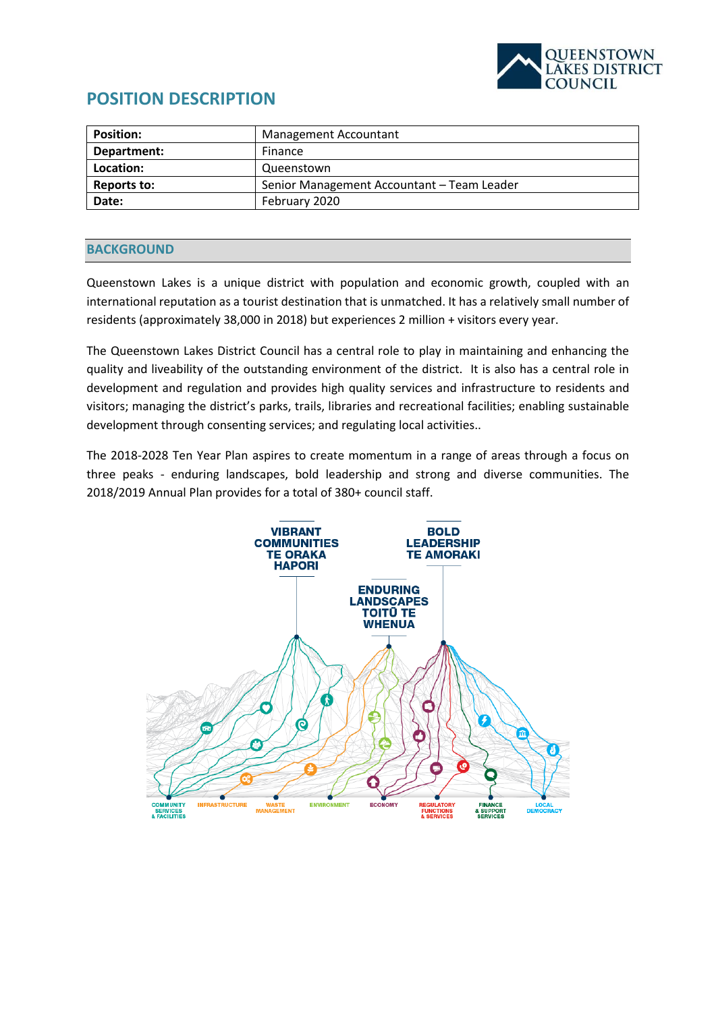

# **POSITION DESCRIPTION**

| <b>Position:</b> | Management Accountant                      |
|------------------|--------------------------------------------|
| Department:      | Finance                                    |
| Location:        | Queenstown                                 |
| Reports to:      | Senior Management Accountant - Team Leader |
| Date:            | February 2020                              |

### **BACKGROUND**

Queenstown Lakes is a unique district with population and economic growth, coupled with an international reputation as a tourist destination that is unmatched. It has a relatively small number of residents (approximately 38,000 in 2018) but experiences 2 million + visitors every year.

The Queenstown Lakes District Council has a central role to play in maintaining and enhancing the quality and liveability of the outstanding environment of the district. It is also has a central role in development and regulation and provides high quality services and infrastructure to residents and visitors; managing the district's parks, trails, libraries and recreational facilities; enabling sustainable development through consenting services; and regulating local activities..

The 2018-2028 Ten Year Plan aspires to create momentum in a range of areas through a focus on three peaks - enduring landscapes, bold leadership and strong and diverse communities. The 2018/2019 Annual Plan provides for a total of 380+ council staff.

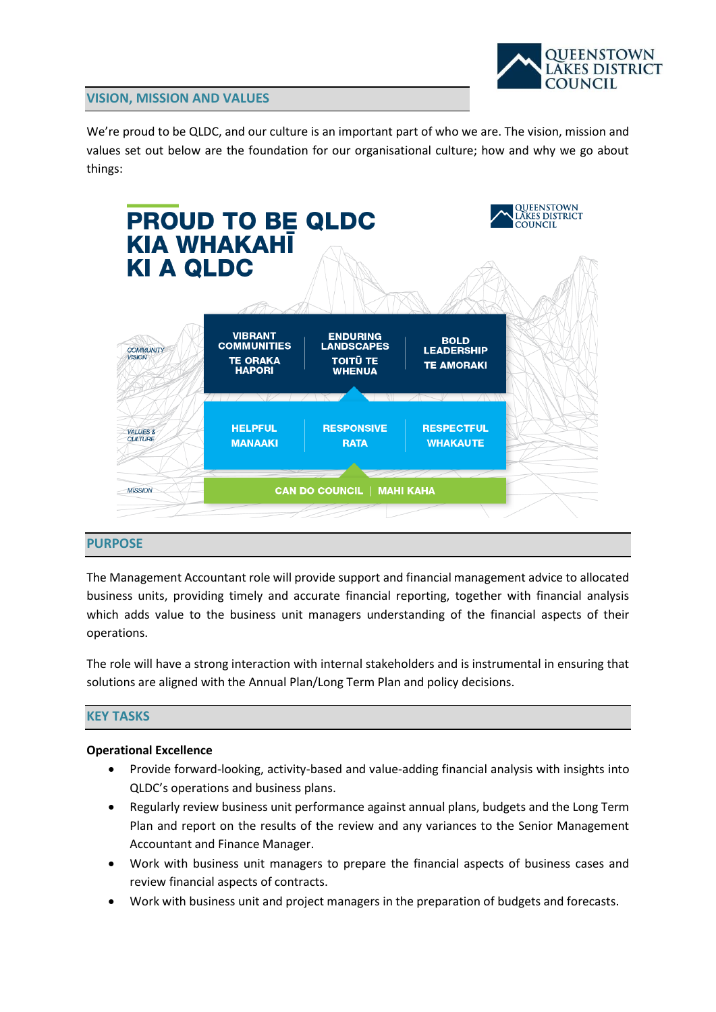

### **VISION, MISSION AND VALUES**

We're proud to be QLDC, and our culture is an important part of who we are. The vision, mission and values set out below are the foundation for our organisational culture; how and why we go about things:



#### **PURPOSE**

The Management Accountant role will provide support and financial management advice to allocated business units, providing timely and accurate financial reporting, together with financial analysis which adds value to the business unit managers understanding of the financial aspects of their operations.

The role will have a strong interaction with internal stakeholders and is instrumental in ensuring that solutions are aligned with the Annual Plan/Long Term Plan and policy decisions.

# **KEY TASKS**

#### **Operational Excellence**

- Provide forward-looking, activity-based and value-adding financial analysis with insights into QLDC's operations and business plans.
- Regularly review business unit performance against annual plans, budgets and the Long Term Plan and report on the results of the review and any variances to the Senior Management Accountant and Finance Manager.
- Work with business unit managers to prepare the financial aspects of business cases and review financial aspects of contracts.
- Work with business unit and project managers in the preparation of budgets and forecasts.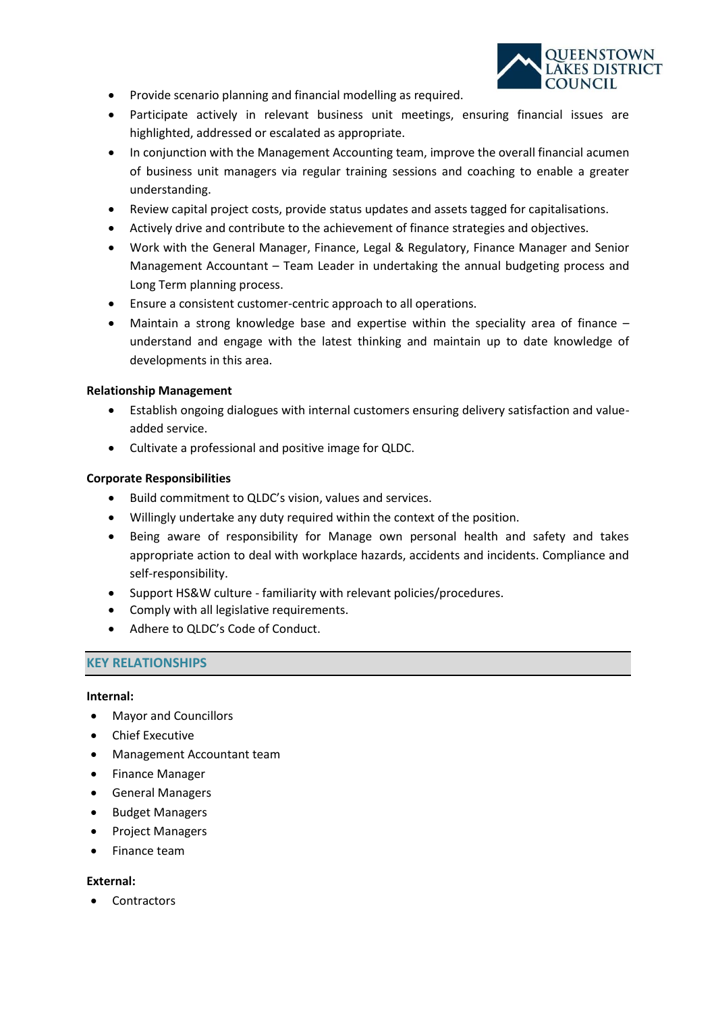

- Provide scenario planning and financial modelling as required.
- Participate actively in relevant business unit meetings, ensuring financial issues are highlighted, addressed or escalated as appropriate.
- In conjunction with the Management Accounting team, improve the overall financial acumen of business unit managers via regular training sessions and coaching to enable a greater understanding.
- Review capital project costs, provide status updates and assets tagged for capitalisations.
- Actively drive and contribute to the achievement of finance strategies and objectives.
- Work with the General Manager, Finance, Legal & Regulatory, Finance Manager and Senior Management Accountant – Team Leader in undertaking the annual budgeting process and Long Term planning process.
- Ensure a consistent customer-centric approach to all operations.
- Maintain a strong knowledge base and expertise within the speciality area of finance  $$ understand and engage with the latest thinking and maintain up to date knowledge of developments in this area.

#### **Relationship Management**

- Establish ongoing dialogues with internal customers ensuring delivery satisfaction and valueadded service.
- Cultivate a professional and positive image for QLDC.

## **Corporate Responsibilities**

- Build commitment to QLDC's vision, values and services.
- Willingly undertake any duty required within the context of the position.
- Being aware of responsibility for Manage own personal health and safety and takes appropriate action to deal with workplace hazards, accidents and incidents. Compliance and self-responsibility.
- Support HS&W culture familiarity with relevant policies/procedures.
- Comply with all legislative requirements.
- Adhere to QLDC's Code of Conduct.

### **KEY RELATIONSHIPS**

#### **Internal:**

- Mayor and Councillors
- Chief Executive
- Management Accountant team
- Finance Manager
- General Managers
- Budget Managers
- Project Managers
- Finance team

#### **External:**

• Contractors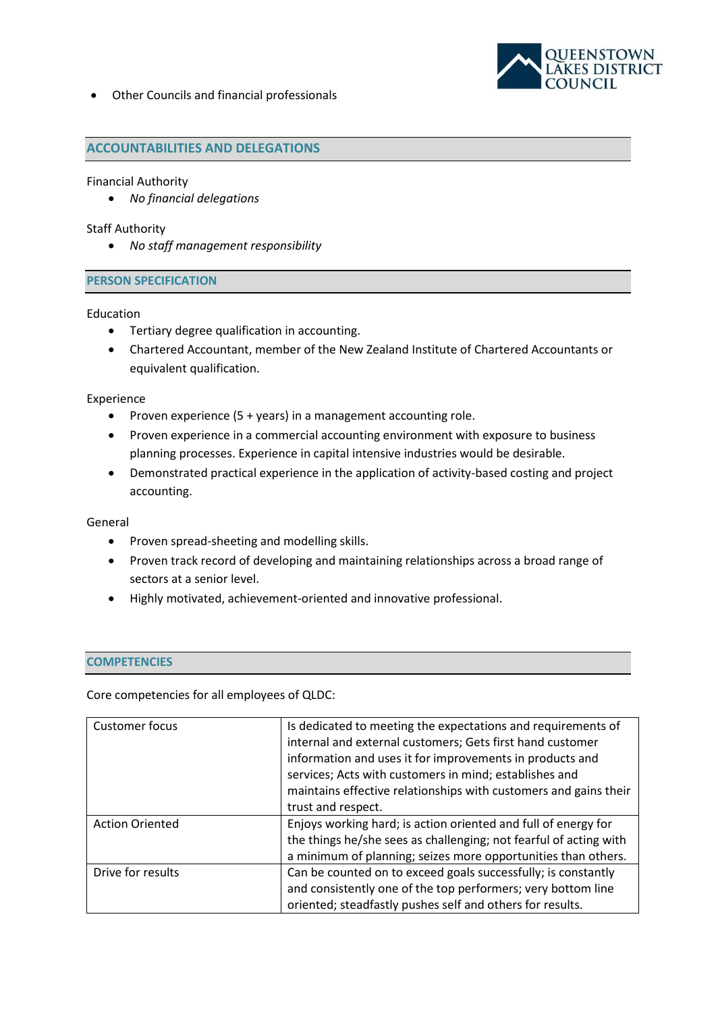

• Other Councils and financial professionals

# **ACCOUNTABILITIES AND DELEGATIONS**

#### Financial Authority

• *No financial delegations*

#### Staff Authority

• *No staff management responsibility*

#### **PERSON SPECIFICATION**

#### Education

- Tertiary degree qualification in accounting.
- Chartered Accountant, member of the New Zealand Institute of Chartered Accountants or equivalent qualification.

#### Experience

- Proven experience (5 + years) in a management accounting role.
- Proven experience in a commercial accounting environment with exposure to business planning processes. Experience in capital intensive industries would be desirable.
- Demonstrated practical experience in the application of activity-based costing and project accounting.

#### General

- Proven spread-sheeting and modelling skills.
- Proven track record of developing and maintaining relationships across a broad range of sectors at a senior level.
- Highly motivated, achievement-oriented and innovative professional.

#### **COMPETENCIES**

Core competencies for all employees of QLDC:

| Customer focus         | Is dedicated to meeting the expectations and requirements of      |
|------------------------|-------------------------------------------------------------------|
|                        | internal and external customers; Gets first hand customer         |
|                        | information and uses it for improvements in products and          |
|                        | services; Acts with customers in mind; establishes and            |
|                        | maintains effective relationships with customers and gains their  |
|                        | trust and respect.                                                |
| <b>Action Oriented</b> | Enjoys working hard; is action oriented and full of energy for    |
|                        | the things he/she sees as challenging; not fearful of acting with |
|                        | a minimum of planning; seizes more opportunities than others.     |
| Drive for results      | Can be counted on to exceed goals successfully; is constantly     |
|                        | and consistently one of the top performers; very bottom line      |
|                        | oriented; steadfastly pushes self and others for results.         |